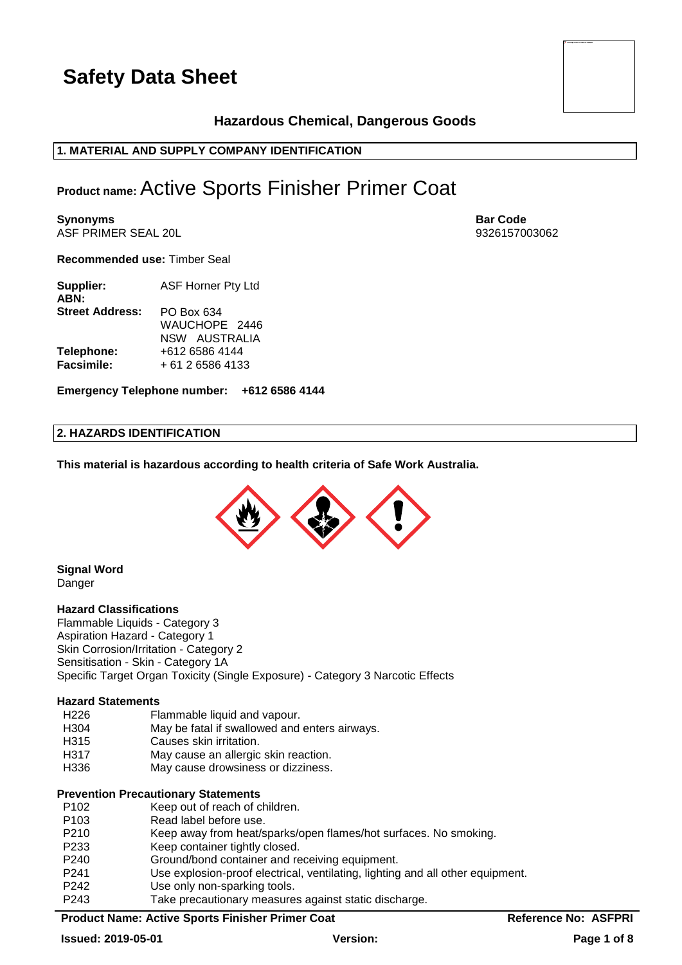### **Hazardous Chemical, Dangerous Goods**

### **1. MATERIAL AND SUPPLY COMPANY IDENTIFICATION**

### **Product name:**Active Sports Finisher Primer Coat

**Synonyms Bar Code** ASF PRIMER SEAL 20L 9326157003062

**Recommended use:** Timber Seal

| Supplier:<br>ABN:      | <b>ASF Horner Pty Ltd</b> |  |  |
|------------------------|---------------------------|--|--|
| <b>Street Address:</b> | PO Box 634                |  |  |
|                        | WAUCHOPE 2446             |  |  |
|                        | NSW AUSTRALIA             |  |  |
| Telephone:             | +612 6586 4144            |  |  |
| <b>Facsimile:</b>      | + 61 2 6586 4133          |  |  |

**Emergency Telephone number: +612 6586 4144**

#### **2. HAZARDS IDENTIFICATION**

**This material is hazardous according to health criteria of Safe Work Australia.**



#### **Signal Word** Danger

#### **Hazard Classifications**

Flammable Liquids - Category 3 Aspiration Hazard - Category 1 Skin Corrosion/Irritation - Category 2 Sensitisation - Skin - Category 1A Specific Target Organ Toxicity (Single Exposure) - Category 3 Narcotic Effects

#### **Hazard Statements**

- H226 Flammable liquid and vapour.
- H304 May be fatal if swallowed and enters airways.
- H315 Causes skin irritation.
- H317 May cause an allergic skin reaction.
- H336 May cause drowsiness or dizziness.

#### **Prevention Precautionary Statements**

| P <sub>102</sub> | Keep out of reach of children.                                                 |
|------------------|--------------------------------------------------------------------------------|
| P <sub>103</sub> | Read label before use.                                                         |
| P <sub>210</sub> | Keep away from heat/sparks/open flames/hot surfaces. No smoking.               |
| P <sub>233</sub> | Keep container tightly closed.                                                 |
| P <sub>240</sub> | Ground/bond container and receiving equipment.                                 |
| P <sub>241</sub> | Use explosion-proof electrical, ventilating, lighting and all other equipment. |
| P <sub>242</sub> | Use only non-sparking tools.                                                   |
| P <sub>243</sub> | Take precautionary measures against static discharge.                          |
|                  |                                                                                |

#### **Product Name: Active Sports Finisher Primer Coat <b>Reference No: ASFPRI**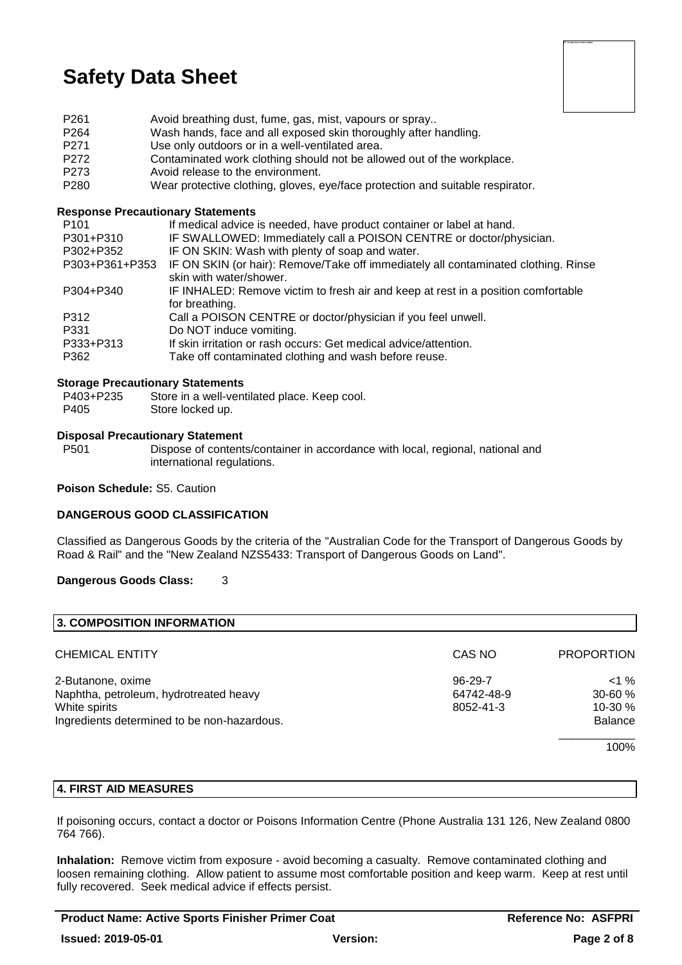

- P261 Avoid breathing dust, fume, gas, mist, vapours or spray..
- P264 Wash hands, face and all exposed skin thoroughly after handling.
- P271 Use only outdoors or in a well-ventilated area.
- P272 Contaminated work clothing should not be allowed out of the workplace.<br>P273 Avoid release to the environment
- P273 Avoid release to the environment.<br>P280 Wear protective clothing gloves
- Wear protective clothing, gloves, eye/face protection and suitable respirator.

#### **Response Precautionary Statements**

| P <sub>101</sub> | If medical advice is needed, have product container or label at hand.              |
|------------------|------------------------------------------------------------------------------------|
| P301+P310        | IF SWALLOWED: Immediately call a POISON CENTRE or doctor/physician.                |
| P302+P352        | IF ON SKIN: Wash with plenty of soap and water.                                    |
| P303+P361+P353   | IF ON SKIN (or hair): Remove/Take off immediately all contaminated clothing. Rinse |
|                  | skin with water/shower.                                                            |
| P304+P340        | IF INHALED: Remove victim to fresh air and keep at rest in a position comfortable  |
|                  | for breathing.                                                                     |
| P312             | Call a POISON CENTRE or doctor/physician if you feel unwell.                       |
| P331             | Do NOT induce vomiting.                                                            |
| P333+P313        | If skin irritation or rash occurs: Get medical advice/attention.                   |
| P362             | Take off contaminated clothing and wash before reuse.                              |
|                  |                                                                                    |

#### **Storage Precautionary Statements**

- P403+P235 Store in a well-ventilated place. Keep cool.
- P405 Store locked up.

#### **Disposal Precautionary Statement**

P501 Dispose of contents/container in accordance with local, regional, national and international regulations.

#### **Poison Schedule:** S5. Caution

#### **DANGEROUS GOOD CLASSIFICATION**

Classified as Dangerous Goods by the criteria of the "Australian Code for the Transport of Dangerous Goods by Road & Rail" and the "New Zealand NZS5433: Transport of Dangerous Goods on Land".

#### **Dangerous Goods Class:** 3

| 3. COMPOSITION INFORMATION                  |               |                   |
|---------------------------------------------|---------------|-------------------|
| <b>CHEMICAL ENTITY</b>                      | CAS NO        | <b>PROPORTION</b> |
| 2-Butanone, oxime                           | $96 - 29 - 7$ | $<$ 1 %           |
| Naphtha, petroleum, hydrotreated heavy      | 64742-48-9    | 30-60 %           |
| White spirits                               | 8052-41-3     | $10-30%$          |
| Ingredients determined to be non-hazardous. |               | <b>Balance</b>    |
|                                             |               | 100%              |

#### **4. FIRST AID MEASURES**

If poisoning occurs, contact a doctor or Poisons Information Centre (Phone Australia 131 126, New Zealand 0800 764 766).

**Inhalation:** Remove victim from exposure - avoid becoming a casualty. Remove contaminated clothing and loosen remaining clothing. Allow patient to assume most comfortable position and keep warm. Keep at rest until fully recovered. Seek medical advice if effects persist.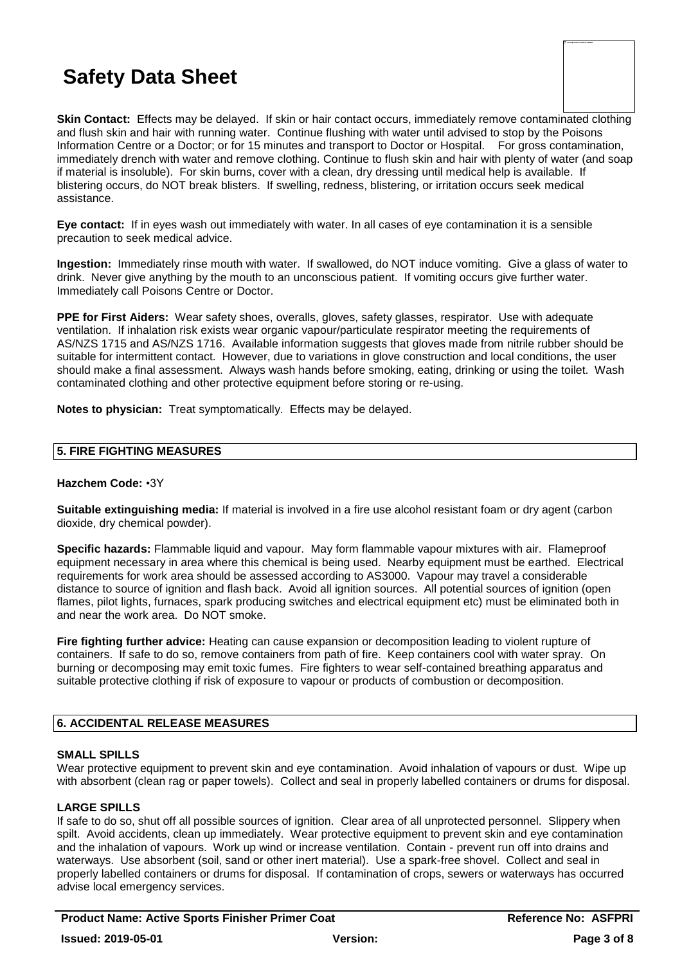**Skin Contact:** Effects may be delayed. If skin or hair contact occurs, immediately remove contaminated clothing and flush skin and hair with running water. Continue flushing with water until advised to stop by the Poisons Information Centre or a Doctor; or for 15 minutes and transport to Doctor or Hospital. For gross contamination, immediately drench with water and remove clothing. Continue to flush skin and hair with plenty of water (and soap if material is insoluble). For skin burns, cover with a clean, dry dressing until medical help is available. If blistering occurs, do NOT break blisters. If swelling, redness, blistering, or irritation occurs seek medical assistance.

**Eye contact:** If in eyes wash out immediately with water. In all cases of eye contamination it is a sensible precaution to seek medical advice.

**Ingestion:** Immediately rinse mouth with water. If swallowed, do NOT induce vomiting. Give a glass of water to drink. Never give anything by the mouth to an unconscious patient. If vomiting occurs give further water. Immediately call Poisons Centre or Doctor.

**PPE for First Aiders:** Wear safety shoes, overalls, gloves, safety glasses, respirator. Use with adequate ventilation. If inhalation risk exists wear organic vapour/particulate respirator meeting the requirements of AS/NZS 1715 and AS/NZS 1716. Available information suggests that gloves made from nitrile rubber should be suitable for intermittent contact. However, due to variations in glove construction and local conditions, the user should make a final assessment. Always wash hands before smoking, eating, drinking or using the toilet. Wash contaminated clothing and other protective equipment before storing or re-using.

**Notes to physician:** Treat symptomatically. Effects may be delayed.

#### **5. FIRE FIGHTING MEASURES**

#### **Hazchem Code:** •3Y

**Suitable extinguishing media:** If material is involved in a fire use alcohol resistant foam or dry agent (carbon dioxide, dry chemical powder).

**Specific hazards:** Flammable liquid and vapour. May form flammable vapour mixtures with air. Flameproof equipment necessary in area where this chemical is being used. Nearby equipment must be earthed. Electrical requirements for work area should be assessed according to AS3000. Vapour may travel a considerable distance to source of ignition and flash back. Avoid all ignition sources. All potential sources of ignition (open flames, pilot lights, furnaces, spark producing switches and electrical equipment etc) must be eliminated both in and near the work area. Do NOT smoke.

**Fire fighting further advice:** Heating can cause expansion or decomposition leading to violent rupture of containers. If safe to do so, remove containers from path of fire. Keep containers cool with water spray. On burning or decomposing may emit toxic fumes. Fire fighters to wear self-contained breathing apparatus and suitable protective clothing if risk of exposure to vapour or products of combustion or decomposition.

#### **6. ACCIDENTAL RELEASE MEASURES**

#### **SMALL SPILLS**

Wear protective equipment to prevent skin and eye contamination. Avoid inhalation of vapours or dust. Wipe up with absorbent (clean rag or paper towels). Collect and seal in properly labelled containers or drums for disposal.

#### **LARGE SPILLS**

If safe to do so, shut off all possible sources of ignition. Clear area of all unprotected personnel. Slippery when spilt. Avoid accidents, clean up immediately. Wear protective equipment to prevent skin and eve contamination and the inhalation of vapours. Work up wind or increase ventilation. Contain - prevent run off into drains and waterways. Use absorbent (soil, sand or other inert material). Use a spark-free shovel. Collect and seal in properly labelled containers or drums for disposal. If contamination of crops, sewers or waterways has occurred advise local emergency services.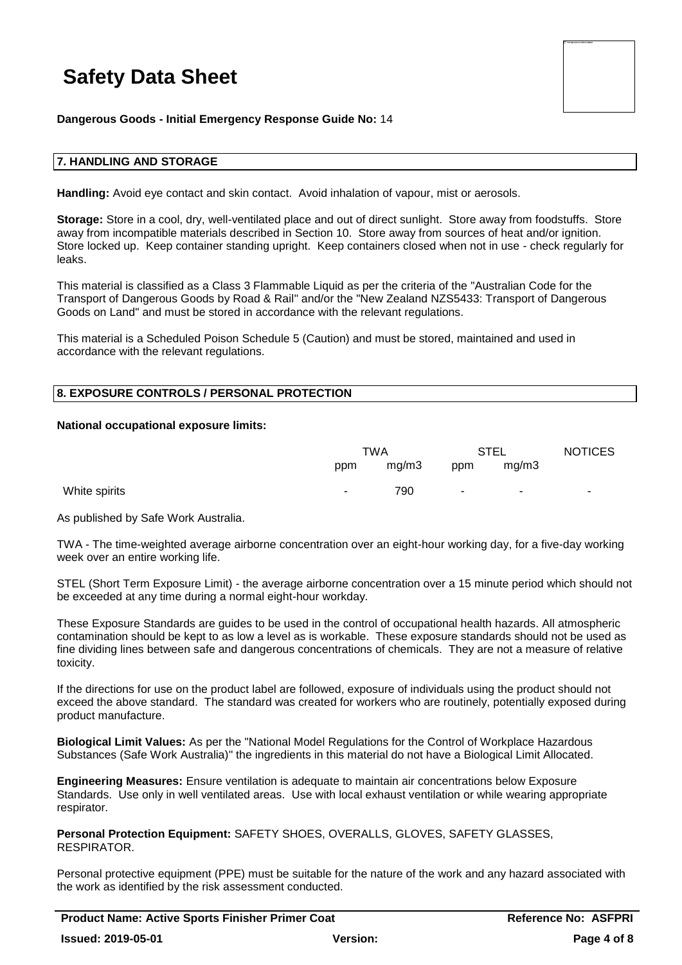

**Dangerous Goods - Initial Emergency Response Guide No:** 14

#### **7. HANDLING AND STORAGE**

**Handling:** Avoid eye contact and skin contact. Avoid inhalation of vapour, mist or aerosols.

**Storage:** Store in a cool, dry, well-ventilated place and out of direct sunlight. Store away from foodstuffs. Store away from incompatible materials described in Section 10. Store away from sources of heat and/or ignition. Store locked up. Keep container standing upright. Keep containers closed when not in use - check regularly for leaks.

This material is classified as a Class 3 Flammable Liquid as per the criteria of the "Australian Code for the Transport of Dangerous Goods by Road & Rail" and/or the "New Zealand NZS5433: Transport of Dangerous Goods on Land" and must be stored in accordance with the relevant regulations.

This material is a Scheduled Poison Schedule 5 (Caution) and must be stored, maintained and used in accordance with the relevant regulations.

#### **8. EXPOSURE CONTROLS / PERSONAL PROTECTION**

#### **National occupational exposure limits:**

|               | TWA    |       | STEL   |                          | <b>NOTICES</b> |
|---------------|--------|-------|--------|--------------------------|----------------|
|               | ppm    | mg/m3 | ppm    | mq/m3                    |                |
| White spirits | $\sim$ | 790   | $\sim$ | $\overline{\phantom{a}}$ | ۰              |

As published by Safe Work Australia.

TWA - The time-weighted average airborne concentration over an eight-hour working day, for a five-day working week over an entire working life.

STEL (Short Term Exposure Limit) - the average airborne concentration over a 15 minute period which should not be exceeded at any time during a normal eight-hour workday.

These Exposure Standards are guides to be used in the control of occupational health hazards. All atmospheric contamination should be kept to as low a level as is workable. These exposure standards should not be used as fine dividing lines between safe and dangerous concentrations of chemicals. They are not a measure of relative toxicity.

If the directions for use on the product label are followed, exposure of individuals using the product should not exceed the above standard. The standard was created for workers who are routinely, potentially exposed during product manufacture.

**Biological Limit Values:** As per the "National Model Regulations for the Control of Workplace Hazardous Substances (Safe Work Australia)" the ingredients in this material do not have a Biological Limit Allocated.

**Engineering Measures:** Ensure ventilation is adequate to maintain air concentrations below Exposure Standards. Use only in well ventilated areas. Use with local exhaust ventilation or while wearing appropriate respirator.

**Personal Protection Equipment:** SAFETY SHOES, OVERALLS, GLOVES, SAFETY GLASSES, **RESPIRATOR** 

Personal protective equipment (PPE) must be suitable for the nature of the work and any hazard associated with the work as identified by the risk assessment conducted.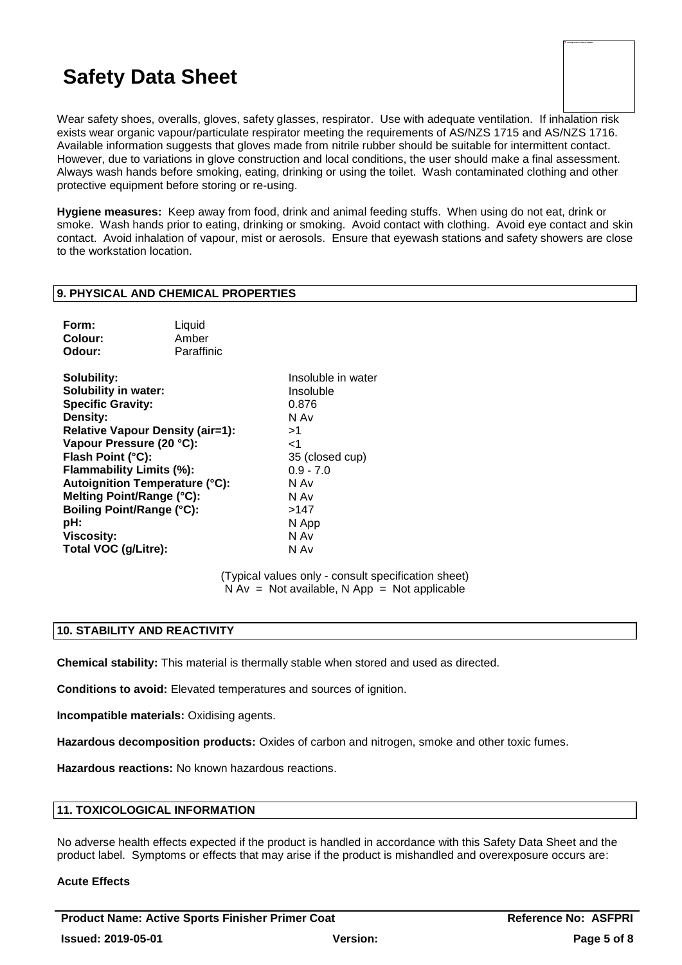| To Training second surveily be displayed. |  |  |
|-------------------------------------------|--|--|
|                                           |  |  |
|                                           |  |  |
|                                           |  |  |
|                                           |  |  |
|                                           |  |  |
|                                           |  |  |
|                                           |  |  |
|                                           |  |  |
|                                           |  |  |
|                                           |  |  |

Wear safety shoes, overalls, gloves, safety glasses, respirator. Use with adequate ventilation. If inhalation risk exists wear organic vapour/particulate respirator meeting the requirements of AS/NZS 1715 and AS/NZS 1716. Available information suggests that gloves made from nitrile rubber should be suitable for intermittent contact. However, due to variations in glove construction and local conditions, the user should make a final assessment. Always wash hands before smoking, eating, drinking or using the toilet. Wash contaminated clothing and other protective equipment before storing or re-using.

**Hygiene measures:** Keep away from food, drink and animal feeding stuffs. When using do not eat, drink or smoke. Wash hands prior to eating, drinking or smoking. Avoid contact with clothing. Avoid eye contact and skin contact. Avoid inhalation of vapour, mist or aerosols. Ensure that eyewash stations and safety showers are close to the workstation location.

#### **9. PHYSICAL AND CHEMICAL PROPERTIES**

| Form:   | Liquid     |
|---------|------------|
| Colour: | Amber      |
| Odour:  | Paraffinic |

**Solubility:** Insoluble in water **Solubility in water:** Insoluble **Specific Gravity:** 0.876 **Density:** N Av **Relative Vapour Density (air=1):** >1 **Vapour Pressure (20 °C):** <1 **Flash Point (°C):** 35 (closed cup) **Flammability Limits (%):** 0.9 - 7.0 **Autoignition Temperature (°C):** N Av **Melting Point/Range (°C):** N Av **Boiling Point/Range (°C):**  $>147$ <br>**pH:** N Ap **Viscosity:** N Av **Total VOC (g/Litre):** N Av

**pH:** N App

(Typical values only - consult specification sheet)  $N Av = Not available, N App = Not applicable$ 

#### **10. STABILITY AND REACTIVITY**

**Chemical stability:** This material is thermally stable when stored and used as directed.

**Conditions to avoid:** Elevated temperatures and sources of ignition.

**Incompatible materials:** Oxidising agents.

**Hazardous decomposition products:** Oxides of carbon and nitrogen, smoke and other toxic fumes.

**Hazardous reactions:** No known hazardous reactions.

#### **11. TOXICOLOGICAL INFORMATION**

No adverse health effects expected if the product is handled in accordance with this Safety Data Sheet and the product label. Symptoms or effects that may arise if the product is mishandled and overexposure occurs are:

#### **Acute Effects**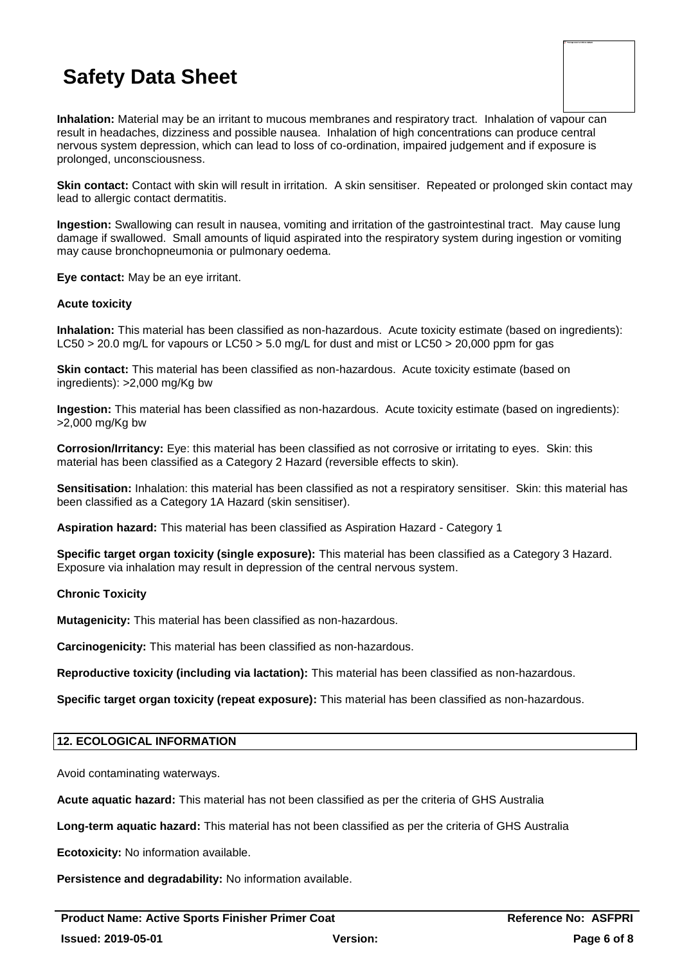**Inhalation:** Material may be an irritant to mucous membranes and respiratory tract. Inhalation of vapour can result in headaches, dizziness and possible nausea. Inhalation of high concentrations can produce central nervous system depression, which can lead to loss of co-ordination, impaired judgement and if exposure is prolonged, unconsciousness.

**Skin contact:** Contact with skin will result in irritation. A skin sensitiser. Repeated or prolonged skin contact may lead to allergic contact dermatitis.

**Ingestion:** Swallowing can result in nausea, vomiting and irritation of the gastrointestinal tract. May cause lung damage if swallowed. Small amounts of liquid aspirated into the respiratory system during ingestion or vomiting may cause bronchopneumonia or pulmonary oedema.

**Eye contact:** May be an eye irritant.

#### **Acute toxicity**

**Inhalation:** This material has been classified as non-hazardous. Acute toxicity estimate (based on ingredients): LC50 > 20.0 mg/L for vapours or LC50 > 5.0 mg/L for dust and mist or LC50 > 20,000 ppm for gas

**Skin contact:** This material has been classified as non-hazardous. Acute toxicity estimate (based on ingredients): >2,000 mg/Kg bw

**Ingestion:** This material has been classified as non-hazardous. Acute toxicity estimate (based on ingredients): >2,000 mg/Kg bw

**Corrosion/Irritancy:** Eye: this material has been classified as not corrosive or irritating to eyes. Skin: this material has been classified as a Category 2 Hazard (reversible effects to skin).

**Sensitisation:** Inhalation: this material has been classified as not a respiratory sensitiser. Skin: this material has been classified as a Category 1A Hazard (skin sensitiser).

**Aspiration hazard:** This material has been classified as Aspiration Hazard - Category 1

**Specific target organ toxicity (single exposure):** This material has been classified as a Category 3 Hazard. Exposure via inhalation may result in depression of the central nervous system.

#### **Chronic Toxicity**

**Mutagenicity:** This material has been classified as non-hazardous.

**Carcinogenicity:** This material has been classified as non-hazardous.

**Reproductive toxicity (including via lactation):** This material has been classified as non-hazardous.

**Specific target organ toxicity (repeat exposure):** This material has been classified as non-hazardous.

#### **12. ECOLOGICAL INFORMATION**

Avoid contaminating waterways.

**Acute aquatic hazard:** This material has not been classified as per the criteria of GHS Australia

**Long-term aquatic hazard:** This material has not been classified as per the criteria of GHS Australia

**Ecotoxicity:** No information available.

**Persistence and degradability:** No information available.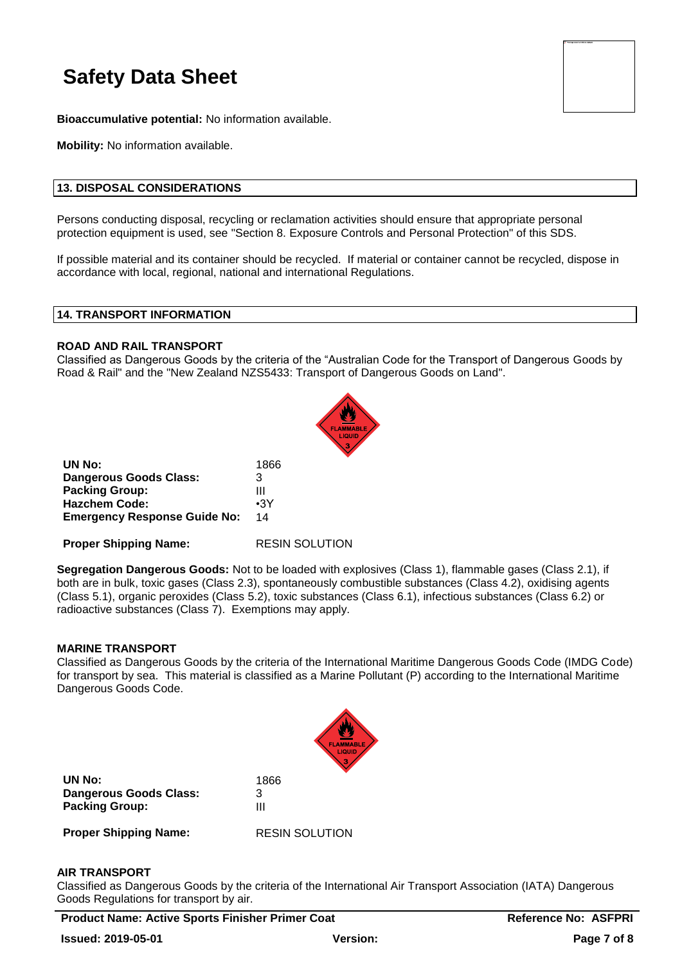| . This image second europely be displayed.<br>п |  |
|-------------------------------------------------|--|
|                                                 |  |
|                                                 |  |
|                                                 |  |
|                                                 |  |
|                                                 |  |
|                                                 |  |
|                                                 |  |
|                                                 |  |
|                                                 |  |
|                                                 |  |
|                                                 |  |
|                                                 |  |
|                                                 |  |
|                                                 |  |
|                                                 |  |
|                                                 |  |
|                                                 |  |
|                                                 |  |
|                                                 |  |
|                                                 |  |
|                                                 |  |
|                                                 |  |
|                                                 |  |
|                                                 |  |

**Bioaccumulative potential:** No information available.

**Mobility:** No information available.

#### **13. DISPOSAL CONSIDERATIONS**

Persons conducting disposal, recycling or reclamation activities should ensure that appropriate personal protection equipment is used, see "Section 8. Exposure Controls and Personal Protection" of this SDS.

If possible material and its container should be recycled. If material or container cannot be recycled, dispose in accordance with local, regional, national and international Regulations.

#### **14. TRANSPORT INFORMATION**

#### **ROAD AND RAIL TRANSPORT**

Classified as Dangerous Goods by the criteria of the "Australian Code for the Transport of Dangerous Goods by Road & Rail" and the "New Zealand NZS5433: Transport of Dangerous Goods on Land".



| UN No:                              | 1866       |
|-------------------------------------|------------|
| <b>Dangerous Goods Class:</b>       | 3          |
| <b>Packing Group:</b>               | Ш          |
| <b>Hazchem Code:</b>                | $\cdot$ 3Y |
| <b>Emergency Response Guide No:</b> | 14         |

**Proper Shipping Name:** RESIN SOLUTION

**Segregation Dangerous Goods:** Not to be loaded with explosives (Class 1), flammable gases (Class 2.1), if both are in bulk, toxic gases (Class 2.3), spontaneously combustible substances (Class 4.2), oxidising agents (Class 5.1), organic peroxides (Class 5.2), toxic substances (Class 6.1), infectious substances (Class 6.2) or radioactive substances (Class 7). Exemptions may apply.

#### **MARINE TRANSPORT**

Classified as Dangerous Goods by the criteria of the International Maritime Dangerous Goods Code (IMDG Code) for transport by sea. This material is classified as a Marine Pollutant (P) according to the International Maritime Dangerous Goods Code.



**UN No:** 1866 **Dangerous Goods Class:** 3 **Packing Group:** III

**Proper Shipping Name:** RESIN SOLUTION

#### **AIR TRANSPORT**

Classified as Dangerous Goods by the criteria of the International Air Transport Association (IATA) Dangerous Goods Regulations for transport by air.